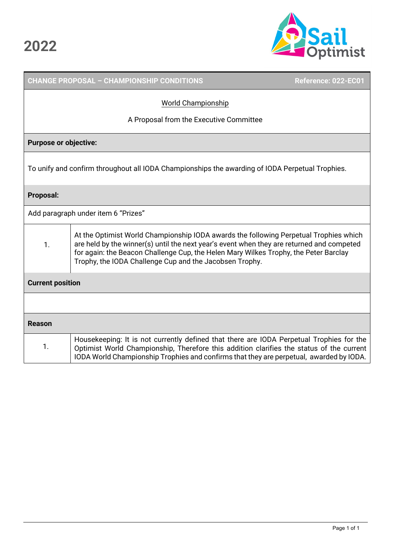

|                              | <b>CHANGE PROPOSAL - CHAMPIONSHIP CONDITIONS</b>                                                                                                                                                                                                                                                                                      | Reference: 022-EC01 |  |  |
|------------------------------|---------------------------------------------------------------------------------------------------------------------------------------------------------------------------------------------------------------------------------------------------------------------------------------------------------------------------------------|---------------------|--|--|
|                              | <b>World Championship</b>                                                                                                                                                                                                                                                                                                             |                     |  |  |
|                              | A Proposal from the Executive Committee                                                                                                                                                                                                                                                                                               |                     |  |  |
| <b>Purpose or objective:</b> |                                                                                                                                                                                                                                                                                                                                       |                     |  |  |
|                              | To unify and confirm throughout all IODA Championships the awarding of IODA Perpetual Trophies.                                                                                                                                                                                                                                       |                     |  |  |
| <b>Proposal:</b>             |                                                                                                                                                                                                                                                                                                                                       |                     |  |  |
|                              | Add paragraph under item 6 "Prizes"                                                                                                                                                                                                                                                                                                   |                     |  |  |
| 1.                           | At the Optimist World Championship IODA awards the following Perpetual Trophies which<br>are held by the winner(s) until the next year's event when they are returned and competed<br>for again: the Beacon Challenge Cup, the Helen Mary Wilkes Trophy, the Peter Barclay<br>Trophy, the IODA Challenge Cup and the Jacobsen Trophy. |                     |  |  |
| <b>Current position</b>      |                                                                                                                                                                                                                                                                                                                                       |                     |  |  |
|                              |                                                                                                                                                                                                                                                                                                                                       |                     |  |  |
| <b>Reason</b>                |                                                                                                                                                                                                                                                                                                                                       |                     |  |  |
| 1.                           | Housekeeping: It is not currently defined that there are IODA Perpetual Trophies for the<br>Optimist World Championship, Therefore this addition clarifies the status of the current<br>IODA World Championship Trophies and confirms that they are perpetual, awarded by IODA.                                                       |                     |  |  |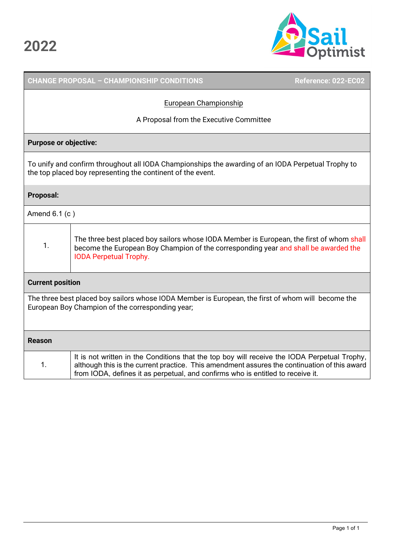

|                         | <b>CHANGE PROPOSAL - CHAMPIONSHIP CONDITIONS</b>                                                                                                                                                                                                                                | Reference: 022-EC02 |
|-------------------------|---------------------------------------------------------------------------------------------------------------------------------------------------------------------------------------------------------------------------------------------------------------------------------|---------------------|
|                         | European Championship                                                                                                                                                                                                                                                           |                     |
|                         | A Proposal from the Executive Committee                                                                                                                                                                                                                                         |                     |
|                         | <b>Purpose or objective:</b>                                                                                                                                                                                                                                                    |                     |
|                         | To unify and confirm throughout all IODA Championships the awarding of an IODA Perpetual Trophy to<br>the top placed boy representing the continent of the event.                                                                                                               |                     |
| <b>Proposal:</b>        |                                                                                                                                                                                                                                                                                 |                     |
| Amend 6.1 (c)           |                                                                                                                                                                                                                                                                                 |                     |
| 1.                      | The three best placed boy sailors whose IODA Member is European, the first of whom shall<br>become the European Boy Champion of the corresponding year and shall be awarded the<br><b>IODA Perpetual Trophy.</b>                                                                |                     |
| <b>Current position</b> |                                                                                                                                                                                                                                                                                 |                     |
|                         | The three best placed boy sailors whose IODA Member is European, the first of whom will become the<br>European Boy Champion of the corresponding year;                                                                                                                          |                     |
| <b>Reason</b>           |                                                                                                                                                                                                                                                                                 |                     |
| 1.                      | It is not written in the Conditions that the top boy will receive the IODA Perpetual Trophy,<br>although this is the current practice. This amendment assures the continuation of this award<br>from IODA, defines it as perpetual, and confirms who is entitled to receive it. |                     |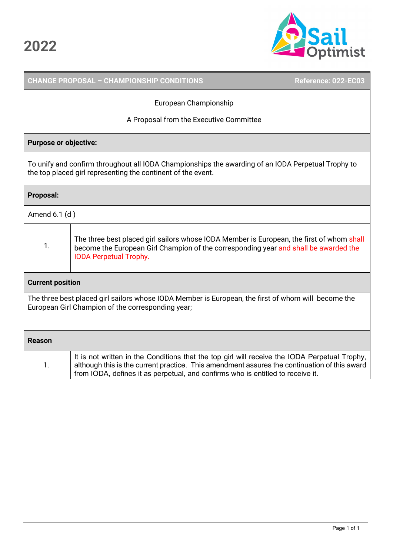

## **CHANGE PROPOSAL – CHAMPIONSHIP CONDITIONS Reference: 022-EC03**  European Championship A Proposal from the Executive Committee **Purpose or objective:** To unify and confirm throughout all IODA Championships the awarding of an IODA Perpetual Trophy to the top placed girl representing the continent of the event. **Proposal:**  Amend 6.1 (d ) 1. The three best placed girl sailors whose IODA Member is European, the first of whom shall become the European Girl Champion of the corresponding year and shall be awarded the IODA Perpetual Trophy. **Current position** The three best placed girl sailors whose IODA Member is European, the first of whom will become the European Girl Champion of the corresponding year; **Reason**  1. It is not written in the Conditions that the top girl will receive the IODA Perpetual Trophy, although this is the current practice. This amendment assures the continuation of this award from IODA, defines it as perpetual, and confirms who is entitled to receive it.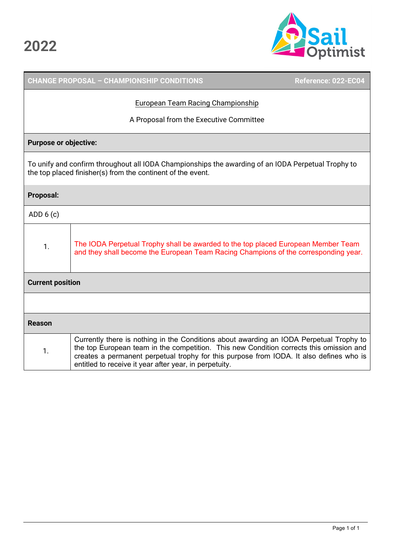

|                                          | <b>CHANGE PROPOSAL - CHAMPIONSHIP CONDITIONS</b><br>Reference: 022-EC04                                                                                                                                                                                                                                                                 |  |  |  |
|------------------------------------------|-----------------------------------------------------------------------------------------------------------------------------------------------------------------------------------------------------------------------------------------------------------------------------------------------------------------------------------------|--|--|--|
| <b>European Team Racing Championship</b> |                                                                                                                                                                                                                                                                                                                                         |  |  |  |
|                                          | A Proposal from the Executive Committee                                                                                                                                                                                                                                                                                                 |  |  |  |
| <b>Purpose or objective:</b>             |                                                                                                                                                                                                                                                                                                                                         |  |  |  |
|                                          | To unify and confirm throughout all IODA Championships the awarding of an IODA Perpetual Trophy to<br>the top placed finisher(s) from the continent of the event.                                                                                                                                                                       |  |  |  |
| <b>Proposal:</b>                         |                                                                                                                                                                                                                                                                                                                                         |  |  |  |
| ADD $6(c)$                               |                                                                                                                                                                                                                                                                                                                                         |  |  |  |
| 1.                                       | The IODA Perpetual Trophy shall be awarded to the top placed European Member Team<br>and they shall become the European Team Racing Champions of the corresponding year.                                                                                                                                                                |  |  |  |
| <b>Current position</b>                  |                                                                                                                                                                                                                                                                                                                                         |  |  |  |
|                                          |                                                                                                                                                                                                                                                                                                                                         |  |  |  |
| <b>Reason</b>                            |                                                                                                                                                                                                                                                                                                                                         |  |  |  |
| 1.                                       | Currently there is nothing in the Conditions about awarding an IODA Perpetual Trophy to<br>the top European team in the competition. This new Condition corrects this omission and<br>creates a permanent perpetual trophy for this purpose from IODA. It also defines who is<br>entitled to receive it year after year, in perpetuity. |  |  |  |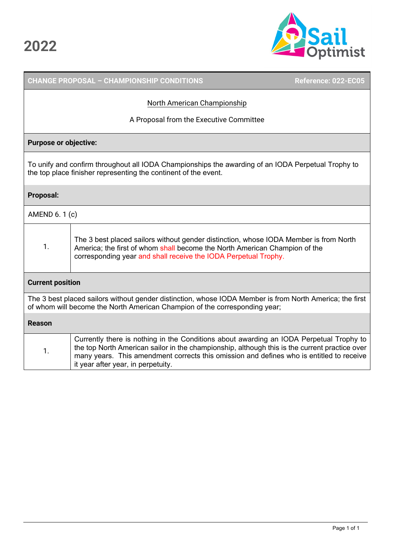

|                                                                                                                                                                                        | <b>CHANGE PROPOSAL - CHAMPIONSHIP CONDITIONS</b>                                                                                                                                                                                                                                                                           | Reference: 022-EC05 |  |
|----------------------------------------------------------------------------------------------------------------------------------------------------------------------------------------|----------------------------------------------------------------------------------------------------------------------------------------------------------------------------------------------------------------------------------------------------------------------------------------------------------------------------|---------------------|--|
| North American Championship                                                                                                                                                            |                                                                                                                                                                                                                                                                                                                            |                     |  |
|                                                                                                                                                                                        | A Proposal from the Executive Committee                                                                                                                                                                                                                                                                                    |                     |  |
| <b>Purpose or objective:</b>                                                                                                                                                           |                                                                                                                                                                                                                                                                                                                            |                     |  |
| To unify and confirm throughout all IODA Championships the awarding of an IODA Perpetual Trophy to<br>the top place finisher representing the continent of the event.                  |                                                                                                                                                                                                                                                                                                                            |                     |  |
| <b>Proposal:</b>                                                                                                                                                                       |                                                                                                                                                                                                                                                                                                                            |                     |  |
| AMEND 6. 1 (c)                                                                                                                                                                         |                                                                                                                                                                                                                                                                                                                            |                     |  |
| 1.                                                                                                                                                                                     | The 3 best placed sailors without gender distinction, whose IODA Member is from North<br>America; the first of whom shall become the North American Champion of the<br>corresponding year and shall receive the IODA Perpetual Trophy.                                                                                     |                     |  |
| <b>Current position</b>                                                                                                                                                                |                                                                                                                                                                                                                                                                                                                            |                     |  |
| The 3 best placed sailors without gender distinction, whose IODA Member is from North America; the first<br>of whom will become the North American Champion of the corresponding year; |                                                                                                                                                                                                                                                                                                                            |                     |  |
| <b>Reason</b>                                                                                                                                                                          |                                                                                                                                                                                                                                                                                                                            |                     |  |
| 1.                                                                                                                                                                                     | Currently there is nothing in the Conditions about awarding an IODA Perpetual Trophy to<br>the top North American sailor in the championship, although this is the current practice over<br>many years. This amendment corrects this omission and defines who is entitled to receive<br>it year after year, in perpetuity. |                     |  |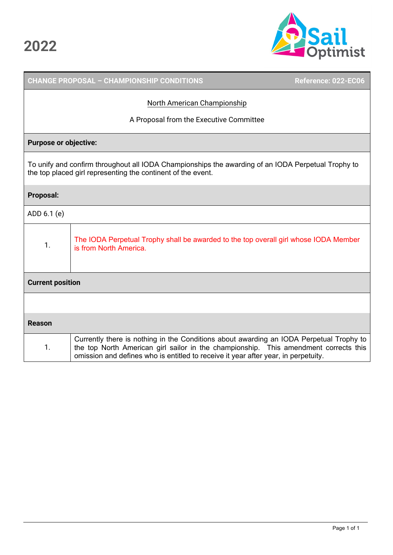

|                              | <b>CHANGE PROPOSAL - CHAMPIONSHIP CONDITIONS</b>                                                                                                                                                                                                                      | Reference: 022-EC06 |  |
|------------------------------|-----------------------------------------------------------------------------------------------------------------------------------------------------------------------------------------------------------------------------------------------------------------------|---------------------|--|
| North American Championship  |                                                                                                                                                                                                                                                                       |                     |  |
|                              | A Proposal from the Executive Committee                                                                                                                                                                                                                               |                     |  |
| <b>Purpose or objective:</b> |                                                                                                                                                                                                                                                                       |                     |  |
|                              | To unify and confirm throughout all IODA Championships the awarding of an IODA Perpetual Trophy to<br>the top placed girl representing the continent of the event.                                                                                                    |                     |  |
| <b>Proposal:</b>             |                                                                                                                                                                                                                                                                       |                     |  |
| ADD 6.1 (e)                  |                                                                                                                                                                                                                                                                       |                     |  |
| 1.                           | The IODA Perpetual Trophy shall be awarded to the top overall girl whose IODA Member<br>is from North America.                                                                                                                                                        |                     |  |
| <b>Current position</b>      |                                                                                                                                                                                                                                                                       |                     |  |
|                              |                                                                                                                                                                                                                                                                       |                     |  |
| <b>Reason</b>                |                                                                                                                                                                                                                                                                       |                     |  |
| 1.                           | Currently there is nothing in the Conditions about awarding an IODA Perpetual Trophy to<br>the top North American girl sailor in the championship. This amendment corrects this<br>omission and defines who is entitled to receive it year after year, in perpetuity. |                     |  |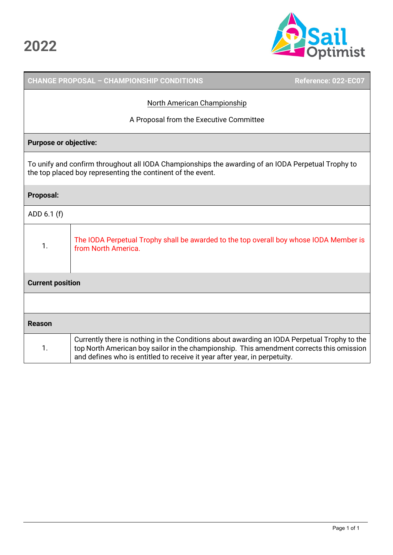

|                         | <b>CHANGE PROPOSAL - CHAMPIONSHIP CONDITIONS</b>                                                                                                                                                                                                                     | Reference: 022-EC07 |
|-------------------------|----------------------------------------------------------------------------------------------------------------------------------------------------------------------------------------------------------------------------------------------------------------------|---------------------|
|                         | North American Championship                                                                                                                                                                                                                                          |                     |
|                         | A Proposal from the Executive Committee                                                                                                                                                                                                                              |                     |
|                         | <b>Purpose or objective:</b>                                                                                                                                                                                                                                         |                     |
|                         | To unify and confirm throughout all IODA Championships the awarding of an IODA Perpetual Trophy to<br>the top placed boy representing the continent of the event.                                                                                                    |                     |
| <b>Proposal:</b>        |                                                                                                                                                                                                                                                                      |                     |
| ADD 6.1 (f)             |                                                                                                                                                                                                                                                                      |                     |
| 1.                      | The IODA Perpetual Trophy shall be awarded to the top overall boy whose IODA Member is<br>from North America.                                                                                                                                                        |                     |
| <b>Current position</b> |                                                                                                                                                                                                                                                                      |                     |
|                         |                                                                                                                                                                                                                                                                      |                     |
| <b>Reason</b>           |                                                                                                                                                                                                                                                                      |                     |
| $\mathbf{1}$ .          | Currently there is nothing in the Conditions about awarding an IODA Perpetual Trophy to the<br>top North American boy sailor in the championship. This amendment corrects this omission<br>and defines who is entitled to receive it year after year, in perpetuity. |                     |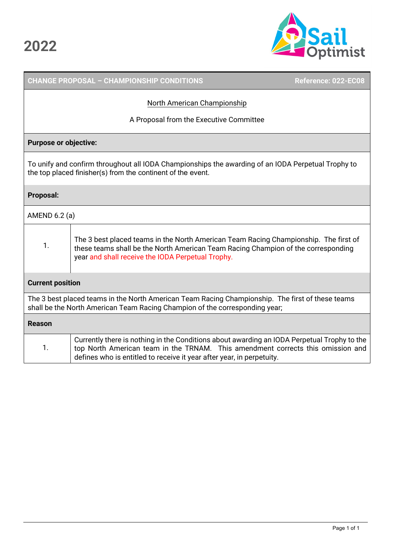

## **CHANGE PROPOSAL – CHAMPIONSHIP CONDITIONS Reference: 022-EC08**  North American Championship A Proposal from the Executive Committee **Purpose or objective:** To unify and confirm throughout all IODA Championships the awarding of an IODA Perpetual Trophy to the top placed finisher(s) from the continent of the event. **Proposal:**  AMEND 6.2 (a) 1. The 3 best placed teams in the North American Team Racing Championship. The first of these teams shall be the North American Team Racing Champion of the corresponding year and shall receive the IODA Perpetual Trophy. **Current position** The 3 best placed teams in the North American Team Racing Championship. The first of these teams shall be the North American Team Racing Champion of the corresponding year; **Reason**  1. Currently there is nothing in the Conditions about awarding an IODA Perpetual Trophy to the top North American team in the TRNAM. This amendment corrects this omission and defines who is entitled to receive it year after year, in perpetuity.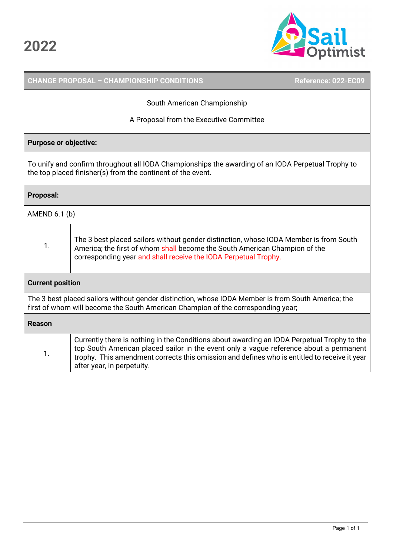

|                                                                                                                                                                                        | <b>CHANGE PROPOSAL - CHAMPIONSHIP CONDITIONS</b>                                                                                                                                                                                                                                                                    | Reference: 022-EC09 |  |  |
|----------------------------------------------------------------------------------------------------------------------------------------------------------------------------------------|---------------------------------------------------------------------------------------------------------------------------------------------------------------------------------------------------------------------------------------------------------------------------------------------------------------------|---------------------|--|--|
|                                                                                                                                                                                        | South American Championship                                                                                                                                                                                                                                                                                         |                     |  |  |
|                                                                                                                                                                                        | A Proposal from the Executive Committee                                                                                                                                                                                                                                                                             |                     |  |  |
| <b>Purpose or objective:</b>                                                                                                                                                           |                                                                                                                                                                                                                                                                                                                     |                     |  |  |
|                                                                                                                                                                                        | To unify and confirm throughout all IODA Championships the awarding of an IODA Perpetual Trophy to<br>the top placed finisher(s) from the continent of the event.                                                                                                                                                   |                     |  |  |
| Proposal:                                                                                                                                                                              |                                                                                                                                                                                                                                                                                                                     |                     |  |  |
| AMEND 6.1 (b)                                                                                                                                                                          |                                                                                                                                                                                                                                                                                                                     |                     |  |  |
| 1.                                                                                                                                                                                     | The 3 best placed sailors without gender distinction, whose IODA Member is from South<br>America; the first of whom shall become the South American Champion of the<br>corresponding year and shall receive the IODA Perpetual Trophy.                                                                              |                     |  |  |
| <b>Current position</b>                                                                                                                                                                |                                                                                                                                                                                                                                                                                                                     |                     |  |  |
| The 3 best placed sailors without gender distinction, whose IODA Member is from South America; the<br>first of whom will become the South American Champion of the corresponding year; |                                                                                                                                                                                                                                                                                                                     |                     |  |  |
| <b>Reason</b>                                                                                                                                                                          |                                                                                                                                                                                                                                                                                                                     |                     |  |  |
| 1.                                                                                                                                                                                     | Currently there is nothing in the Conditions about awarding an IODA Perpetual Trophy to the<br>top South American placed sailor in the event only a vague reference about a permanent<br>trophy. This amendment corrects this omission and defines who is entitled to receive it year<br>after year, in perpetuity. |                     |  |  |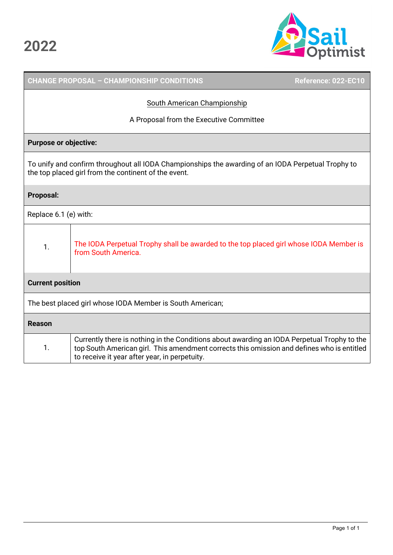

|                              | <b>CHANGE PROPOSAL - CHAMPIONSHIP CONDITIONS</b>                                                                                                                                                                                           | Reference: 022-EC10 |
|------------------------------|--------------------------------------------------------------------------------------------------------------------------------------------------------------------------------------------------------------------------------------------|---------------------|
|                              | <b>South American Championship</b>                                                                                                                                                                                                         |                     |
|                              | A Proposal from the Executive Committee                                                                                                                                                                                                    |                     |
| <b>Purpose or objective:</b> |                                                                                                                                                                                                                                            |                     |
|                              | To unify and confirm throughout all IODA Championships the awarding of an IODA Perpetual Trophy to<br>the top placed girl from the continent of the event.                                                                                 |                     |
| <b>Proposal:</b>             |                                                                                                                                                                                                                                            |                     |
| Replace 6.1 (e) with:        |                                                                                                                                                                                                                                            |                     |
| 1.                           | The IODA Perpetual Trophy shall be awarded to the top placed girl whose IODA Member is<br>from South America.                                                                                                                              |                     |
| <b>Current position</b>      |                                                                                                                                                                                                                                            |                     |
|                              | The best placed girl whose IODA Member is South American;                                                                                                                                                                                  |                     |
| <b>Reason</b>                |                                                                                                                                                                                                                                            |                     |
| 1.                           | Currently there is nothing in the Conditions about awarding an IODA Perpetual Trophy to the<br>top South American girl. This amendment corrects this omission and defines who is entitled<br>to receive it year after year, in perpetuity. |                     |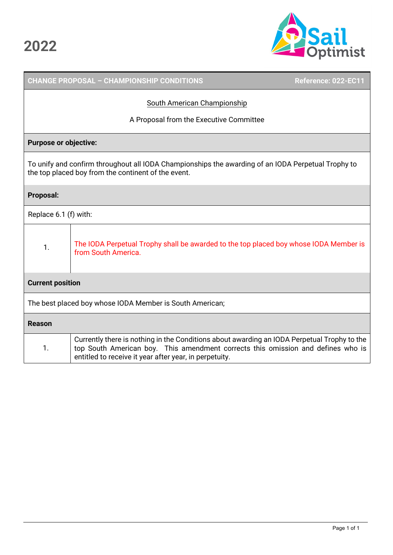

|                                                          | <b>CHANGE PROPOSAL - CHAMPIONSHIP CONDITIONS</b>                                                                                                                                                                                          | Reference: 022-EC11 |  |  |
|----------------------------------------------------------|-------------------------------------------------------------------------------------------------------------------------------------------------------------------------------------------------------------------------------------------|---------------------|--|--|
|                                                          | South American Championship                                                                                                                                                                                                               |                     |  |  |
|                                                          | A Proposal from the Executive Committee                                                                                                                                                                                                   |                     |  |  |
| <b>Purpose or objective:</b>                             |                                                                                                                                                                                                                                           |                     |  |  |
|                                                          | To unify and confirm throughout all IODA Championships the awarding of an IODA Perpetual Trophy to<br>the top placed boy from the continent of the event.                                                                                 |                     |  |  |
| <b>Proposal:</b>                                         |                                                                                                                                                                                                                                           |                     |  |  |
| Replace 6.1 (f) with:                                    |                                                                                                                                                                                                                                           |                     |  |  |
| 1.                                                       | The IODA Perpetual Trophy shall be awarded to the top placed boy whose IODA Member is<br>from South America.                                                                                                                              |                     |  |  |
| <b>Current position</b>                                  |                                                                                                                                                                                                                                           |                     |  |  |
| The best placed boy whose IODA Member is South American; |                                                                                                                                                                                                                                           |                     |  |  |
| <b>Reason</b>                                            |                                                                                                                                                                                                                                           |                     |  |  |
| 1.                                                       | Currently there is nothing in the Conditions about awarding an IODA Perpetual Trophy to the<br>top South American boy. This amendment corrects this omission and defines who is<br>entitled to receive it year after year, in perpetuity. |                     |  |  |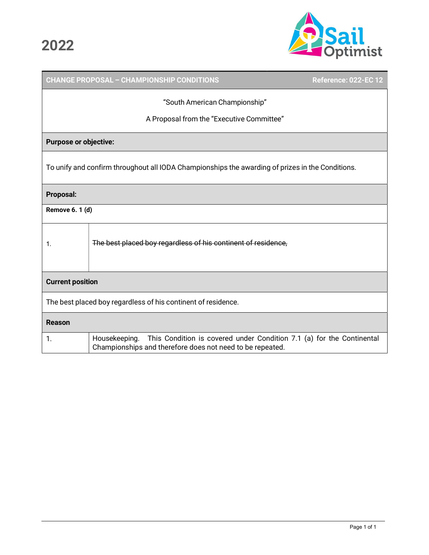Г



|                                                                                                  | CHANGE PROPOSAL - CHAMPIONSHIP CONDITIONS                                                                                                           | <b>Reference: 022-EC 12</b> |  |
|--------------------------------------------------------------------------------------------------|-----------------------------------------------------------------------------------------------------------------------------------------------------|-----------------------------|--|
| "South American Championship"                                                                    |                                                                                                                                                     |                             |  |
|                                                                                                  | A Proposal from the "Executive Committee"                                                                                                           |                             |  |
| <b>Purpose or objective:</b>                                                                     |                                                                                                                                                     |                             |  |
| To unify and confirm throughout all IODA Championships the awarding of prizes in the Conditions. |                                                                                                                                                     |                             |  |
| <b>Proposal:</b>                                                                                 |                                                                                                                                                     |                             |  |
| Remove 6. 1 (d)                                                                                  |                                                                                                                                                     |                             |  |
| 1.                                                                                               | The best placed boy regardless of his continent of residence,                                                                                       |                             |  |
| <b>Current position</b>                                                                          |                                                                                                                                                     |                             |  |
| The best placed boy regardless of his continent of residence.                                    |                                                                                                                                                     |                             |  |
| <b>Reason</b>                                                                                    |                                                                                                                                                     |                             |  |
| 1.                                                                                               | This Condition is covered under Condition 7.1 (a) for the Continental<br>Housekeeping.<br>Championships and therefore does not need to be repeated. |                             |  |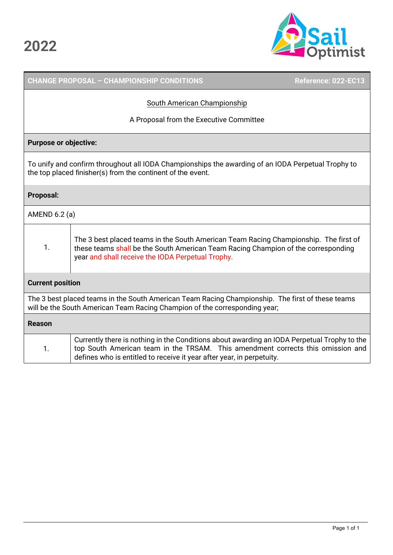

## **CHANGE PROPOSAL – CHAMPIONSHIP CONDITIONS Reference: 022-EC13**  South American Championship A Proposal from the Executive Committee **Purpose or objective:** To unify and confirm throughout all IODA Championships the awarding of an IODA Perpetual Trophy to the top placed finisher(s) from the continent of the event. **Proposal:**  AMEND 6.2 (a) 1. The 3 best placed teams in the South American Team Racing Championship. The first of these teams shall be the South American Team Racing Champion of the corresponding year and shall receive the IODA Perpetual Trophy. **Current position** The 3 best placed teams in the South American Team Racing Championship. The first of these teams will be the South American Team Racing Champion of the corresponding year; **Reason**  1. Currently there is nothing in the Conditions about awarding an IODA Perpetual Trophy to the top South American team in the TRSAM. This amendment corrects this omission and defines who is entitled to receive it year after year, in perpetuity.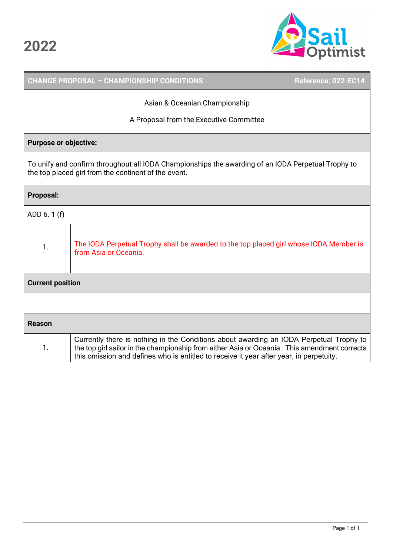

|                         | <b>CHANGE PROPOSAL - CHAMPIONSHIP CONDITIONS</b>                                                                                                                                                                                                                                   | Reference: 022-EC14 |
|-------------------------|------------------------------------------------------------------------------------------------------------------------------------------------------------------------------------------------------------------------------------------------------------------------------------|---------------------|
|                         | Asian & Oceanian Championship                                                                                                                                                                                                                                                      |                     |
|                         | A Proposal from the Executive Committee                                                                                                                                                                                                                                            |                     |
|                         | <b>Purpose or objective:</b>                                                                                                                                                                                                                                                       |                     |
|                         | To unify and confirm throughout all IODA Championships the awarding of an IODA Perpetual Trophy to<br>the top placed girl from the continent of the event.                                                                                                                         |                     |
| <b>Proposal:</b>        |                                                                                                                                                                                                                                                                                    |                     |
| ADD 6.1 (f)             |                                                                                                                                                                                                                                                                                    |                     |
| 1.                      | The IODA Perpetual Trophy shall be awarded to the top placed girl whose IODA Member is<br>from Asia or Oceania.                                                                                                                                                                    |                     |
| <b>Current position</b> |                                                                                                                                                                                                                                                                                    |                     |
|                         |                                                                                                                                                                                                                                                                                    |                     |
| <b>Reason</b>           |                                                                                                                                                                                                                                                                                    |                     |
| 1.                      | Currently there is nothing in the Conditions about awarding an IODA Perpetual Trophy to<br>the top girl sailor in the championship from either Asia or Oceania. This amendment corrects<br>this omission and defines who is entitled to receive it year after year, in perpetuity. |                     |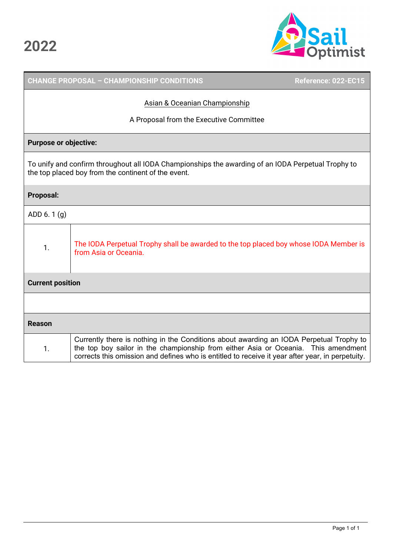

|                              | <b>CHANGE PROPOSAL - CHAMPIONSHIP CONDITIONS</b>                                                                                                                                                                                                                                  | Reference: 022-EC15 |
|------------------------------|-----------------------------------------------------------------------------------------------------------------------------------------------------------------------------------------------------------------------------------------------------------------------------------|---------------------|
|                              | Asian & Oceanian Championship                                                                                                                                                                                                                                                     |                     |
|                              | A Proposal from the Executive Committee                                                                                                                                                                                                                                           |                     |
| <b>Purpose or objective:</b> |                                                                                                                                                                                                                                                                                   |                     |
|                              | To unify and confirm throughout all IODA Championships the awarding of an IODA Perpetual Trophy to<br>the top placed boy from the continent of the event.                                                                                                                         |                     |
| <b>Proposal:</b>             |                                                                                                                                                                                                                                                                                   |                     |
| ADD 6.1(g)                   |                                                                                                                                                                                                                                                                                   |                     |
| 1.                           | The IODA Perpetual Trophy shall be awarded to the top placed boy whose IODA Member is<br>from Asia or Oceania.                                                                                                                                                                    |                     |
| <b>Current position</b>      |                                                                                                                                                                                                                                                                                   |                     |
|                              |                                                                                                                                                                                                                                                                                   |                     |
| <b>Reason</b>                |                                                                                                                                                                                                                                                                                   |                     |
| 1.                           | Currently there is nothing in the Conditions about awarding an IODA Perpetual Trophy to<br>the top boy sailor in the championship from either Asia or Oceania. This amendment<br>corrects this omission and defines who is entitled to receive it year after year, in perpetuity. |                     |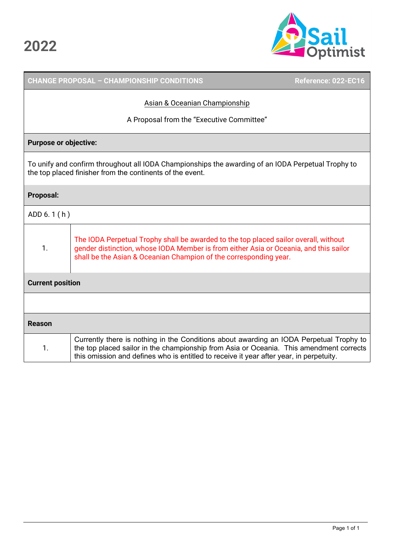

|                               | <b>CHANGE PROPOSAL - CHAMPIONSHIP CONDITIONS</b>                                                                                                                                                                                                                              | Reference: 022-EC16 |
|-------------------------------|-------------------------------------------------------------------------------------------------------------------------------------------------------------------------------------------------------------------------------------------------------------------------------|---------------------|
| Asian & Oceanian Championship |                                                                                                                                                                                                                                                                               |                     |
|                               | A Proposal from the "Executive Committee"                                                                                                                                                                                                                                     |                     |
| <b>Purpose or objective:</b>  |                                                                                                                                                                                                                                                                               |                     |
|                               | To unify and confirm throughout all IODA Championships the awarding of an IODA Perpetual Trophy to<br>the top placed finisher from the continents of the event.                                                                                                               |                     |
| <b>Proposal:</b>              |                                                                                                                                                                                                                                                                               |                     |
| ADD 6.1(h)                    |                                                                                                                                                                                                                                                                               |                     |
| 1.                            | The IODA Perpetual Trophy shall be awarded to the top placed sailor overall, without<br>gender distinction, whose IODA Member is from either Asia or Oceania, and this sailor<br>shall be the Asian & Oceanian Champion of the corresponding year.                            |                     |
| <b>Current position</b>       |                                                                                                                                                                                                                                                                               |                     |
|                               |                                                                                                                                                                                                                                                                               |                     |
| <b>Reason</b>                 |                                                                                                                                                                                                                                                                               |                     |
| 1.                            | Currently there is nothing in the Conditions about awarding an IODA Perpetual Trophy to<br>the top placed sailor in the championship from Asia or Oceania. This amendment corrects<br>this omission and defines who is entitled to receive it year after year, in perpetuity. |                     |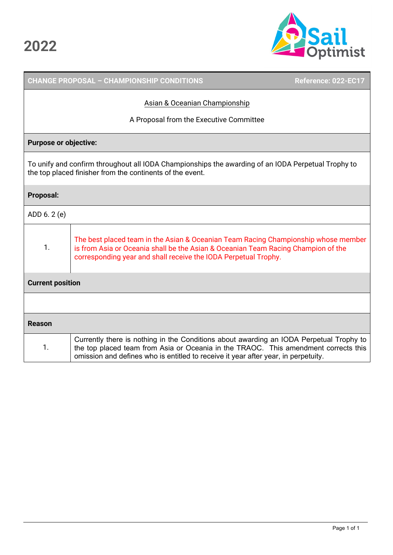

|                               |                                                                                                                                                                                                                                            | <b>CHANGE PROPOSAL - CHAMPIONSHIP CONDITIONS</b>                                                                                                                                                                                                                     | Reference: 022-EC17 |
|-------------------------------|--------------------------------------------------------------------------------------------------------------------------------------------------------------------------------------------------------------------------------------------|----------------------------------------------------------------------------------------------------------------------------------------------------------------------------------------------------------------------------------------------------------------------|---------------------|
| Asian & Oceanian Championship |                                                                                                                                                                                                                                            |                                                                                                                                                                                                                                                                      |                     |
|                               |                                                                                                                                                                                                                                            | A Proposal from the Executive Committee                                                                                                                                                                                                                              |                     |
| <b>Purpose or objective:</b>  |                                                                                                                                                                                                                                            |                                                                                                                                                                                                                                                                      |                     |
|                               |                                                                                                                                                                                                                                            | To unify and confirm throughout all IODA Championships the awarding of an IODA Perpetual Trophy to<br>the top placed finisher from the continents of the event.                                                                                                      |                     |
| <b>Proposal:</b>              |                                                                                                                                                                                                                                            |                                                                                                                                                                                                                                                                      |                     |
| ADD 6.2 (e)                   |                                                                                                                                                                                                                                            |                                                                                                                                                                                                                                                                      |                     |
| 1.                            | The best placed team in the Asian & Oceanian Team Racing Championship whose member<br>is from Asia or Oceania shall be the Asian & Oceanian Team Racing Champion of the<br>corresponding year and shall receive the IODA Perpetual Trophy. |                                                                                                                                                                                                                                                                      |                     |
| <b>Current position</b>       |                                                                                                                                                                                                                                            |                                                                                                                                                                                                                                                                      |                     |
|                               |                                                                                                                                                                                                                                            |                                                                                                                                                                                                                                                                      |                     |
| <b>Reason</b>                 |                                                                                                                                                                                                                                            |                                                                                                                                                                                                                                                                      |                     |
| 1.                            |                                                                                                                                                                                                                                            | Currently there is nothing in the Conditions about awarding an IODA Perpetual Trophy to<br>the top placed team from Asia or Oceania in the TRAOC. This amendment corrects this<br>omission and defines who is entitled to receive it year after year, in perpetuity. |                     |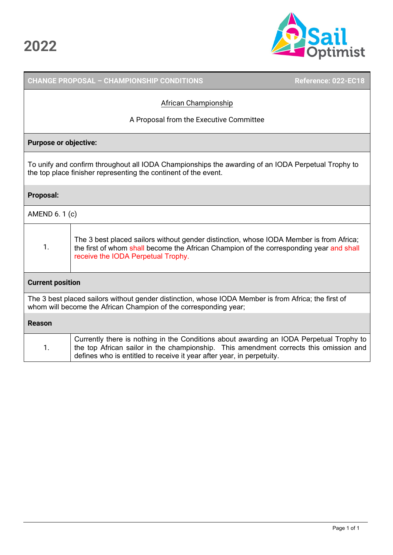

|                                                                                                                                                                          | <b>CHANGE PROPOSAL - CHAMPIONSHIP CONDITIONS</b>                                                                                                                                                                                                          | Reference: 022-EC18 |  |
|--------------------------------------------------------------------------------------------------------------------------------------------------------------------------|-----------------------------------------------------------------------------------------------------------------------------------------------------------------------------------------------------------------------------------------------------------|---------------------|--|
| African Championship                                                                                                                                                     |                                                                                                                                                                                                                                                           |                     |  |
|                                                                                                                                                                          | A Proposal from the Executive Committee                                                                                                                                                                                                                   |                     |  |
| <b>Purpose or objective:</b>                                                                                                                                             |                                                                                                                                                                                                                                                           |                     |  |
|                                                                                                                                                                          | To unify and confirm throughout all IODA Championships the awarding of an IODA Perpetual Trophy to<br>the top place finisher representing the continent of the event.                                                                                     |                     |  |
| <b>Proposal:</b>                                                                                                                                                         |                                                                                                                                                                                                                                                           |                     |  |
| AMEND 6.1 (c)                                                                                                                                                            |                                                                                                                                                                                                                                                           |                     |  |
| 1.                                                                                                                                                                       | The 3 best placed sailors without gender distinction, whose IODA Member is from Africa;<br>the first of whom shall become the African Champion of the corresponding year and shall<br>receive the IODA Perpetual Trophy.                                  |                     |  |
| <b>Current position</b>                                                                                                                                                  |                                                                                                                                                                                                                                                           |                     |  |
| The 3 best placed sailors without gender distinction, whose IODA Member is from Africa; the first of<br>whom will become the African Champion of the corresponding year; |                                                                                                                                                                                                                                                           |                     |  |
| <b>Reason</b>                                                                                                                                                            |                                                                                                                                                                                                                                                           |                     |  |
| 1.                                                                                                                                                                       | Currently there is nothing in the Conditions about awarding an IODA Perpetual Trophy to<br>the top African sailor in the championship. This amendment corrects this omission and<br>defines who is entitled to receive it year after year, in perpetuity. |                     |  |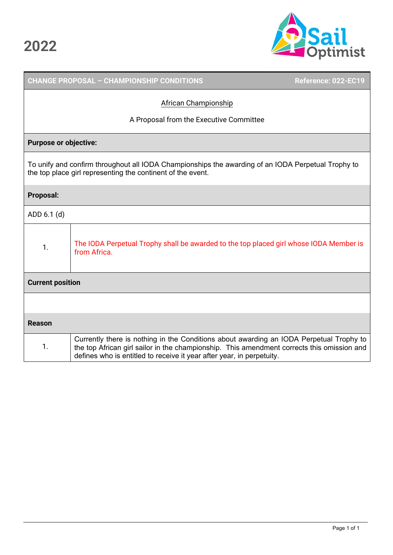

|                         | <b>CHANGE PROPOSAL - CHAMPIONSHIP CONDITIONS</b>                                                                                                                                                                                                               | Reference: 022-EC19 |
|-------------------------|----------------------------------------------------------------------------------------------------------------------------------------------------------------------------------------------------------------------------------------------------------------|---------------------|
|                         | African Championship                                                                                                                                                                                                                                           |                     |
|                         | A Proposal from the Executive Committee                                                                                                                                                                                                                        |                     |
|                         | <b>Purpose or objective:</b>                                                                                                                                                                                                                                   |                     |
|                         | To unify and confirm throughout all IODA Championships the awarding of an IODA Perpetual Trophy to<br>the top place girl representing the continent of the event.                                                                                              |                     |
| <b>Proposal:</b>        |                                                                                                                                                                                                                                                                |                     |
| ADD 6.1 (d)             |                                                                                                                                                                                                                                                                |                     |
| 1.                      | The IODA Perpetual Trophy shall be awarded to the top placed girl whose IODA Member is<br>from Africa.                                                                                                                                                         |                     |
| <b>Current position</b> |                                                                                                                                                                                                                                                                |                     |
|                         |                                                                                                                                                                                                                                                                |                     |
| <b>Reason</b>           |                                                                                                                                                                                                                                                                |                     |
| 1.                      | Currently there is nothing in the Conditions about awarding an IODA Perpetual Trophy to<br>the top African girl sailor in the championship. This amendment corrects this omission and<br>defines who is entitled to receive it year after year, in perpetuity. |                     |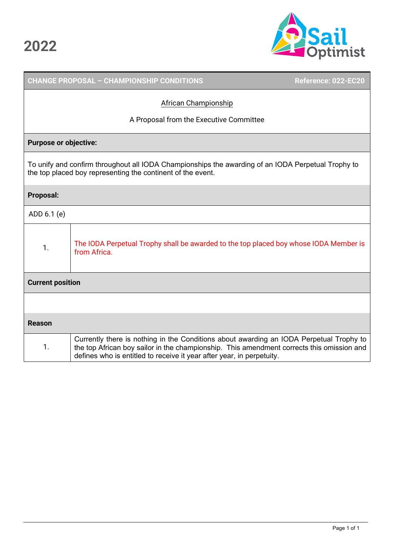

|                         | <b>CHANGE PROPOSAL - CHAMPIONSHIP CONDITIONS</b>                                                                                                                                                                                                              | Reference: 022-EC20 |
|-------------------------|---------------------------------------------------------------------------------------------------------------------------------------------------------------------------------------------------------------------------------------------------------------|---------------------|
|                         | African Championship                                                                                                                                                                                                                                          |                     |
|                         | A Proposal from the Executive Committee                                                                                                                                                                                                                       |                     |
|                         | <b>Purpose or objective:</b>                                                                                                                                                                                                                                  |                     |
|                         | To unify and confirm throughout all IODA Championships the awarding of an IODA Perpetual Trophy to<br>the top placed boy representing the continent of the event.                                                                                             |                     |
| <b>Proposal:</b>        |                                                                                                                                                                                                                                                               |                     |
| ADD 6.1 (e)             |                                                                                                                                                                                                                                                               |                     |
| 1.                      | The IODA Perpetual Trophy shall be awarded to the top placed boy whose IODA Member is<br>from Africa.                                                                                                                                                         |                     |
| <b>Current position</b> |                                                                                                                                                                                                                                                               |                     |
|                         |                                                                                                                                                                                                                                                               |                     |
| <b>Reason</b>           |                                                                                                                                                                                                                                                               |                     |
| 1.                      | Currently there is nothing in the Conditions about awarding an IODA Perpetual Trophy to<br>the top African boy sailor in the championship. This amendment corrects this omission and<br>defines who is entitled to receive it year after year, in perpetuity. |                     |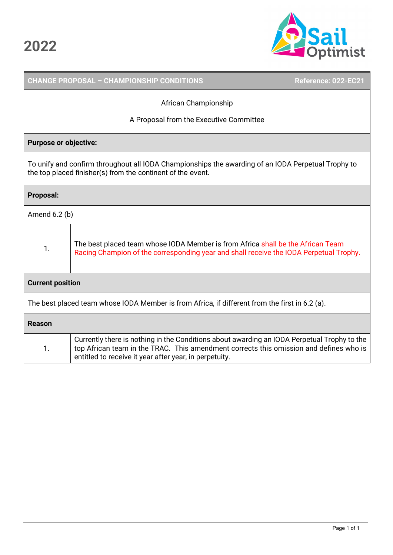

|                                                                                                                                                                   | <b>CHANGE PROPOSAL - CHAMPIONSHIP CONDITIONS</b>                                                                                                                                                                                                | Reference: 022-EC21 |
|-------------------------------------------------------------------------------------------------------------------------------------------------------------------|-------------------------------------------------------------------------------------------------------------------------------------------------------------------------------------------------------------------------------------------------|---------------------|
| <b>African Championship</b>                                                                                                                                       |                                                                                                                                                                                                                                                 |                     |
|                                                                                                                                                                   | A Proposal from the Executive Committee                                                                                                                                                                                                         |                     |
| <b>Purpose or objective:</b>                                                                                                                                      |                                                                                                                                                                                                                                                 |                     |
| To unify and confirm throughout all IODA Championships the awarding of an IODA Perpetual Trophy to<br>the top placed finisher(s) from the continent of the event. |                                                                                                                                                                                                                                                 |                     |
| <b>Proposal:</b>                                                                                                                                                  |                                                                                                                                                                                                                                                 |                     |
| Amend $6.2$ (b)                                                                                                                                                   |                                                                                                                                                                                                                                                 |                     |
| 1.                                                                                                                                                                | The best placed team whose IODA Member is from Africa shall be the African Team<br>Racing Champion of the corresponding year and shall receive the IODA Perpetual Trophy.                                                                       |                     |
| <b>Current position</b>                                                                                                                                           |                                                                                                                                                                                                                                                 |                     |
| The best placed team whose IODA Member is from Africa, if different from the first in 6.2 (a).                                                                    |                                                                                                                                                                                                                                                 |                     |
| <b>Reason</b>                                                                                                                                                     |                                                                                                                                                                                                                                                 |                     |
| 1.                                                                                                                                                                | Currently there is nothing in the Conditions about awarding an IODA Perpetual Trophy to the<br>top African team in the TRAC. This amendment corrects this omission and defines who is<br>entitled to receive it year after year, in perpetuity. |                     |